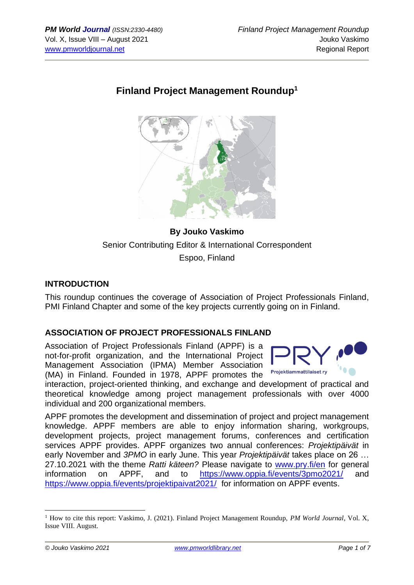# **Finland Project Management Roundup<sup>1</sup>**



**By Jouko Vaskimo** Senior Contributing Editor & International Correspondent Espoo, Finland

#### **INTRODUCTION**

This roundup continues the coverage of Association of Project Professionals Finland, PMI Finland Chapter and some of the key projects currently going on in Finland.

## **ASSOCIATION OF PROJECT PROFESSIONALS FINLAND**

Association of Project Professionals Finland (APPF) is a not-for-profit organization, and the International Project Management Association (IPMA) Member Association (MA) in Finland. Founded in 1978, APPF promotes the



interaction, project-oriented thinking, and exchange and development of practical and theoretical knowledge among project management professionals with over 4000 individual and 200 organizational members.

APPF promotes the development and dissemination of project and project management knowledge. APPF members are able to enjoy information sharing, workgroups, development projects, project management forums, conferences and certification services APPF provides. APPF organizes two annual conferences: *Projektipäivät* in early November and *3PMO* in early June. This year *Projektipäivät* takes place on 26 … 27.10.2021 with the theme *Ratti käteen?* Please navigate to [www.pry.fi/en](http://www.pry.fi/en) for general information on APPF, and to <https://www.oppia.fi/events/3pmo2021/> and <https://www.oppia.fi/events/projektipaivat2021/> for information on APPF events.

<sup>1</sup> How to cite this report: Vaskimo, J. (2021). Finland Project Management Roundup, *PM World Journal*, Vol. X, Issue VIII. August.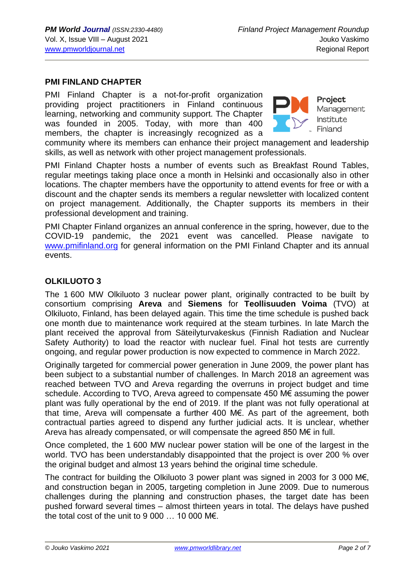#### **PMI FINLAND CHAPTER**

PMI Finland Chapter is a not-for-profit organization providing project practitioners in Finland continuous learning, networking and community support. The Chapter was founded in 2005. Today, with more than 400 members, the chapter is increasingly recognized as a



**Project** Management Institute Finland

community where its members can enhance their project management and leadership skills, as well as network with other project management professionals.

PMI Finland Chapter hosts a number of events such as Breakfast Round Tables, regular meetings taking place once a month in Helsinki and occasionally also in other locations. The chapter members have the opportunity to attend events for free or with a discount and the chapter sends its members a regular newsletter with localized content on project management. Additionally, the Chapter supports its members in their professional development and training.

PMI Chapter Finland organizes an annual conference in the spring, however, due to the COVID-19 pandemic, the 2021 event was cancelled. Please navigate to [www.pmifinland.org](http://www.pmifinland.org/) for general information on the PMI Finland Chapter and its annual events.

#### **OLKILUOTO 3**

The 1 600 MW Olkiluoto 3 nuclear power plant, originally contracted to be built by consortium comprising **Areva** and **Siemens** for **Teollisuuden Voima** (TVO) at Olkiluoto, Finland, has been delayed again. This time the time schedule is pushed back one month due to maintenance work required at the steam turbines. In late March the plant received the approval from Säteilyturvakeskus (Finnish Radiation and Nuclear Safety Authority) to load the reactor with nuclear fuel. Final hot tests are currently ongoing, and regular power production is now expected to commence in March 2022.

Originally targeted for commercial power generation in June 2009, the power plant has been subject to a substantial number of challenges. In March 2018 an agreement was reached between TVO and Areva regarding the overruns in project budget and time schedule. According to TVO, Areva agreed to compensate 450 M€ assuming the power plant was fully operational by the end of 2019. If the plant was not fully operational at that time, Areva will compensate a further 400 M€. As part of the agreement, both contractual parties agreed to dispend any further judicial acts. It is unclear, whether Areva has already compensated, or will compensate the agreed 850 M€ in full.

Once completed, the 1 600 MW nuclear power station will be one of the largest in the world. TVO has been understandably disappointed that the project is over 200 % over the original budget and almost 13 years behind the original time schedule.

The contract for building the Olkiluoto 3 power plant was signed in 2003 for 3 000 M€, and construction began in 2005, targeting completion in June 2009. Due to numerous challenges during the planning and construction phases, the target date has been pushed forward several times – almost thirteen years in total. The delays have pushed the total cost of the unit to  $9000...10000$  M $\epsilon$ .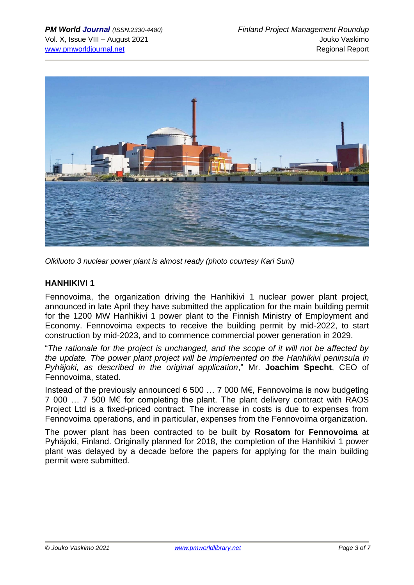

*Olkiluoto 3 nuclear power plant is almost ready (photo courtesy Kari Suni)*

## **HANHIKIVI 1**

Fennovoima, the organization driving the Hanhikivi 1 nuclear power plant project, announced in late April they have submitted the application for the main building permit for the 1200 MW Hanhikivi 1 power plant to the Finnish Ministry of Employment and Economy. Fennovoima expects to receive the building permit by mid-2022, to start construction by mid-2023, and to commence commercial power generation in 2029.

"*The rationale for the project is unchanged, and the scope of it will not be affected by the update. The power plant project will be implemented on the Hanhikivi peninsula in Pyhäjoki, as described in the original application*," Mr. **Joachim Specht**, CEO of Fennovoima, stated.

Instead of the previously announced 6 500 … 7 000 M€, Fennovoima is now budgeting 7 000 … 7 500 M€ for completing the plant. The plant delivery contract with RAOS Project Ltd is a fixed-priced contract. The increase in costs is due to expenses from Fennovoima operations, and in particular, expenses from the Fennovoima organization.

The power plant has been contracted to be built by **Rosatom** for **Fennovoima** at Pyhäjoki, Finland. Originally planned for 2018, the completion of the Hanhikivi 1 power plant was delayed by a decade before the papers for applying for the main building permit were submitted.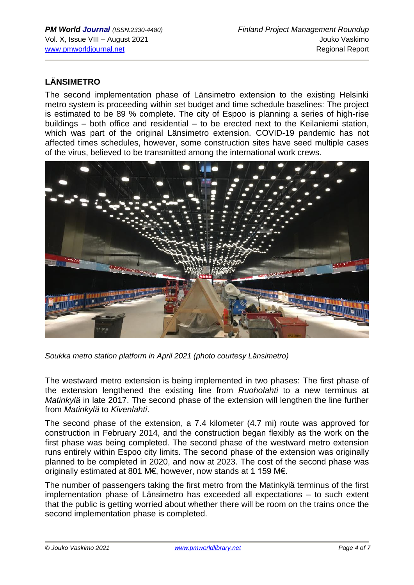## **LÄNSIMETRO**

The second implementation phase of Länsimetro extension to the existing Helsinki metro system is proceeding within set budget and time schedule baselines: The project is estimated to be 89 % complete. The city of Espoo is planning a series of high-rise buildings – both office and residential – to be erected next to the Keilaniemi station, which was part of the original Länsimetro extension. COVID-19 pandemic has not affected times schedules, however, some construction sites have seed multiple cases of the virus, believed to be transmitted among the international work crews.



*Soukka metro station platform in April 2021 (photo courtesy Länsimetro)*

The westward metro extension is being implemented in two phases: The first phase of the extension lengthened the existing line from *[Ruoholahti](https://en.wikipedia.org/wiki/Ruoholahti_metro_station)* to a new terminus at *[Matinkylä](https://en.wikipedia.org/wiki/Matinkyl%C3%A4)* in late 2017. The second phase of the extension will lengthen the line further from *Matinkylä* to *Kivenlahti*.

The second phase of the extension, a 7.4 kilometer (4.7 mi) route was approved for construction in February 2014, and the construction began flexibly as the work on the first phase was being completed. The second phase of the westward metro extension runs entirely within Espoo city limits. The second phase of the extension was originally planned to be completed in 2020, and now at 2023. The cost of the second phase was originally estimated at 801 M€, however, now stands at 1 159 M€.

The number of passengers taking the first metro from the Matinkylä terminus of the first implementation phase of Länsimetro has exceeded all expectations – to such extent that the public is getting worried about whether there will be room on the trains once the second implementation phase is completed.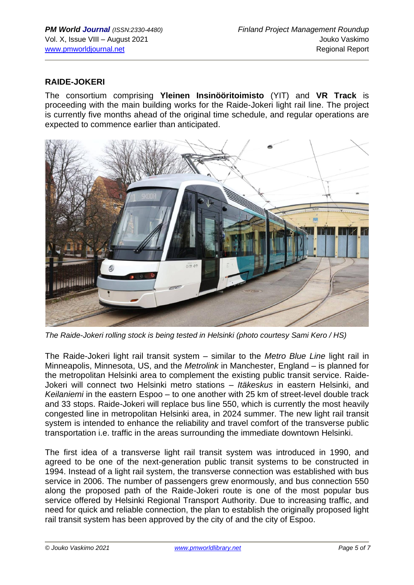#### **RAIDE-JOKERI**

The consortium comprising **Yleinen Insinööritoimisto** (YIT) and **VR Track** is proceeding with the main building works for the Raide-Jokeri light rail line. The project is currently five months ahead of the original time schedule, and regular operations are expected to commence earlier than anticipated.



*The Raide-Jokeri rolling stock is being tested in Helsinki (photo courtesy Sami Kero / HS)*

The Raide-Jokeri light rail transit system – similar to the *Metro Blue Line* light rail in Minneapolis, Minnesota, US, and the *Metrolink* in Manchester, England – is planned for the metropolitan Helsinki area to complement the existing public transit service. Raide-Jokeri will connect two Helsinki metro stations – *Itäkeskus* in eastern Helsinki, and *Keilaniemi* in the eastern Espoo – to one another with 25 km of street-level double track and 33 stops. Raide-Jokeri will replace bus line 550, which is currently the most heavily congested line in metropolitan Helsinki area, in 2024 summer. The new light rail transit system is intended to enhance the reliability and travel comfort of the transverse public transportation i.e. traffic in the areas surrounding the immediate downtown Helsinki.

The first idea of a transverse light rail transit system was introduced in 1990, and agreed to be one of the next-generation public transit systems to be constructed in 1994. Instead of a light rail system, the transverse connection was established with bus service in 2006. The number of passengers grew enormously, and bus connection 550 along the proposed path of the Raide-Jokeri route is one of the most popular bus service offered by Helsinki Regional Transport Authority. Due to increasing traffic, and need for quick and reliable connection, the plan to establish the originally proposed light rail transit system has been approved by the city of and the city of Espoo.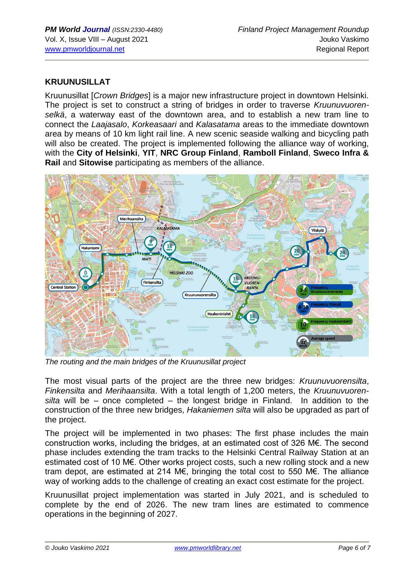#### **KRUUNUSILLAT**

Kruunusillat [*Crown Bridges*] is a major new infrastructure project in downtown Helsinki. The project is set to construct a string of bridges in order to traverse *Kruunuvuorenselkä*, a waterway east of the downtown area, and to establish a new tram line to connect the *Laajasalo*, *Korkeasaari* and *Kalasatama* areas to the immediate downtown area by means of 10 km light rail line. A new scenic seaside walking and bicycling path will also be created. The project is implemented following the alliance way of working, with the **City of Helsinki**, **YIT**, **NRC Group Finland**, **Ramboll Finland**, **Sweco Infra & Rail** and **Sitowise** participating as members of the alliance.



*The routing and the main bridges of the Kruunusillat project*

The most visual parts of the project are the three new bridges: *Kruunuvuorensilta*, *Finkensilta* and *Merihaansilta*. With a total length of 1,200 meters, the *Kruunuvuorensilta* will be – once completed – the longest bridge in Finland. In addition to the construction of the three new bridges, *Hakaniemen silta* will also be upgraded as part of the project.

The project will be implemented in two phases: The first phase includes the main construction works, including the bridges, at an estimated cost of 326 M€. The second phase includes extending the tram tracks to the Helsinki Central Railway Station at an estimated cost of 10 M€. Other works project costs, such a new rolling stock and a new tram depot, are estimated at 214 M€, bringing the total cost to 550 M€. The alliance way of working adds to the challenge of creating an exact cost estimate for the project.

Kruunusillat project implementation was started in July 2021, and is scheduled to complete by the end of 2026. The new tram lines are estimated to commence operations in the beginning of 2027.